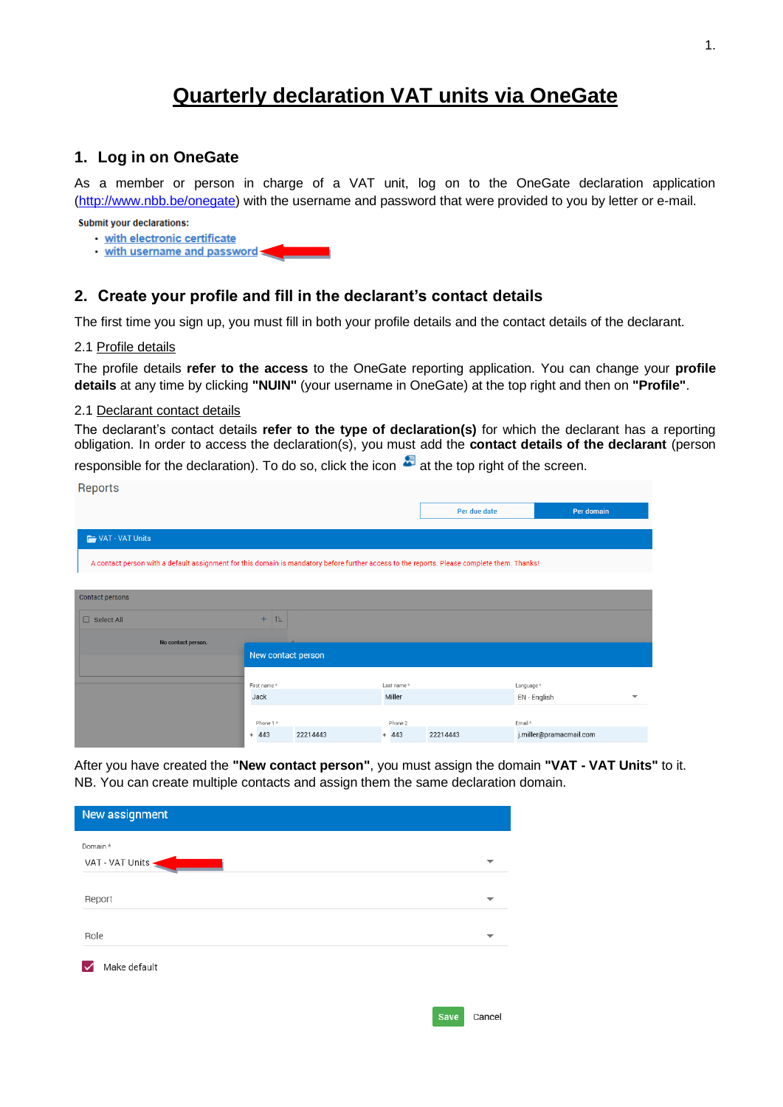# **Quarterly declaration VAT units via OneGate**

# **1. Log in on OneGate**

As a member or person in charge of a VAT unit, log on to the OneGate declaration application [\(http://www.nbb.be/onegate\)](http://www.nbb.be/onegate) with the username and password that were provided to you by letter or e-mail.

**Submit your declarations:** 

- · with electronic certificate
- . with username and password

# **2. Create your profile and fill in the declarant's contact details**

The first time you sign up, you must fill in both your profile details and the contact details of the declarant.

### 2.1 Profile details

**Donorto** 

The profile details **refer to the access** to the OneGate reporting application. You can change your **profile details** at any time by clicking **"NUIN"** (your username in OneGate) at the top right and then on **"Profile"**.

#### 2.1 Declarant contact details

The declarant's contact details **refer to the type of declaration(s)** for which the declarant has a reporting obligation. In order to access the declaration(s), you must add the **contact details of the declarant** (person

responsible for the declaration). To do so, click the icon  $\ddot{\bullet}$  at the top right of the screen.

| <b>TICPOLIS</b>                                                                                                                             |                    |          |            |              |                         |   |
|---------------------------------------------------------------------------------------------------------------------------------------------|--------------------|----------|------------|--------------|-------------------------|---|
|                                                                                                                                             |                    |          |            | Per due date | Per domain              |   |
| VAT - VAT Units                                                                                                                             |                    |          |            |              |                         |   |
| A contact person with a default assignment for this domain is mandatory before further access to the reports. Please complete them. Thanks! |                    |          |            |              |                         |   |
|                                                                                                                                             |                    |          |            |              |                         |   |
| Contact persons                                                                                                                             |                    |          |            |              |                         |   |
| $\Box$ Select All                                                                                                                           |                    |          |            |              |                         |   |
| No contact person.                                                                                                                          |                    |          |            |              |                         |   |
|                                                                                                                                             | New contact person |          |            |              |                         |   |
|                                                                                                                                             | First name*        |          | Last name* |              | Language*               |   |
|                                                                                                                                             | Jack               |          | Miller     |              | EN - English            | ⇁ |
|                                                                                                                                             |                    |          |            |              |                         |   |
|                                                                                                                                             | Phone 1 *          |          | Phone 2    |              | Email *                 |   |
|                                                                                                                                             | $+ 443$            | 22214443 | $+ 443$    | 22214443     | j.miller@pramacmail.com |   |

After you have created the **"New contact person"**, you must assign the domain **"VAT - VAT Units"** to it. NB. You can create multiple contacts and assign them the same declaration domain.

| New assignment  |  |
|-----------------|--|
| Domain *        |  |
| VAT - VAT Units |  |
| Report          |  |
| Role            |  |
| Make default    |  |
|                 |  |

| Cancel |
|--------|
|--------|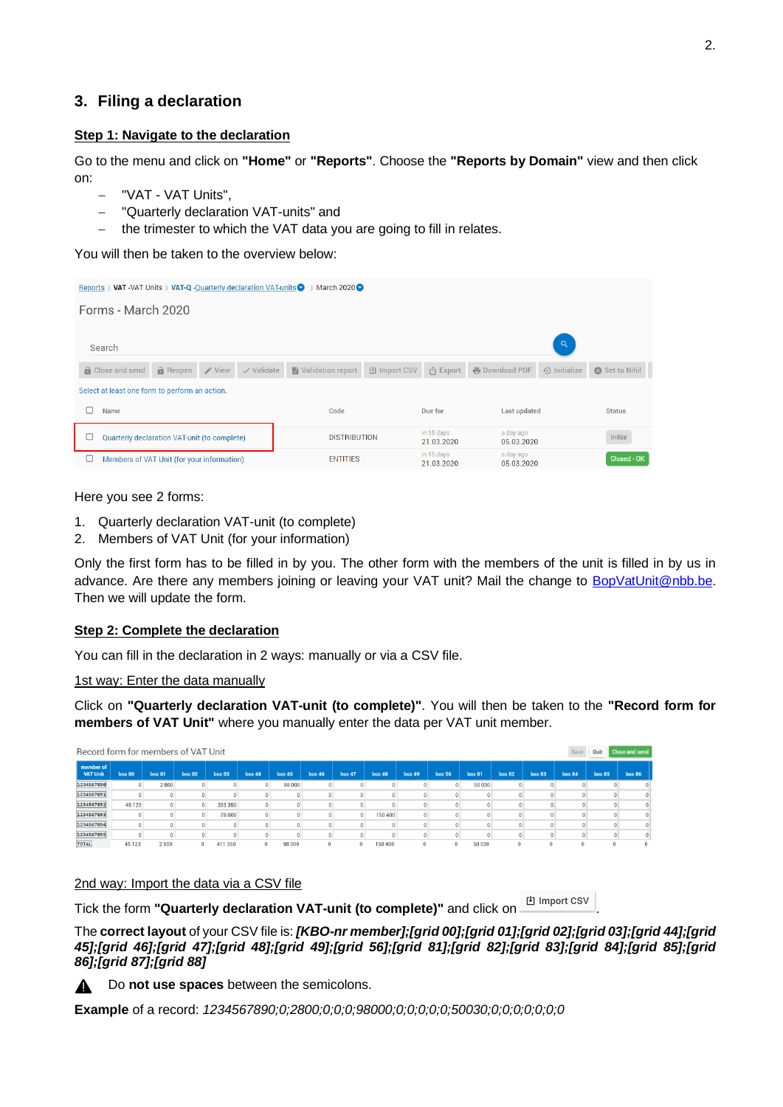## **3. Filing a declaration**

## **Step 1: Navigate to the declaration**

Go to the menu and click on **"Home"** or **"Reports"**. Choose the **"Reports by Domain"** view and then click on:

- − "VAT VAT Units",
- − "Quarterly declaration VAT-units" and
- the trimester to which the VAT data you are going to fill in relates.

You will then be taken to the overview below:

| Reports ) VAT-VAT Units ) VAT-Q-Quarterly declaration VAT-units<br>March 2020 $\bigcirc$                                                                                                       |                          |                          |                         |         |  |  |  |  |  |  |  |  |
|------------------------------------------------------------------------------------------------------------------------------------------------------------------------------------------------|--------------------------|--------------------------|-------------------------|---------|--|--|--|--|--|--|--|--|
| Forms - March 2020                                                                                                                                                                             |                          |                          |                         |         |  |  |  |  |  |  |  |  |
|                                                                                                                                                                                                |                          |                          |                         |         |  |  |  |  |  |  |  |  |
| Search                                                                                                                                                                                         |                          |                          | $\alpha$                |         |  |  |  |  |  |  |  |  |
| $\bigcap$ Reopen $\bigcup$ View<br>$\vee$ Validate<br>A Validation report<br>凹 Import CSV<br><b>B</b> Download PDF<br><b>A</b> Close and send<br>$\odot$ Initialize<br>r <sup>î</sup> 1 Export |                          |                          |                         |         |  |  |  |  |  |  |  |  |
| Select at least one form to perform an action.                                                                                                                                                 |                          |                          |                         |         |  |  |  |  |  |  |  |  |
| <b>Last updated</b><br>Name<br>Code<br>Due for<br><b>Status</b>                                                                                                                                |                          |                          |                         |         |  |  |  |  |  |  |  |  |
| Quarterly declaration VAT-unit (to complete)                                                                                                                                                   | <b>DISTRIBUTION</b>      | in 15 days<br>21.03.2020 | a day ago<br>05.03.2020 | Initial |  |  |  |  |  |  |  |  |
| Members of VAT Unit (for your information)<br>∟                                                                                                                                                | in 15 days<br>21.03.2020 | a day ago<br>05.03.2020  | <b>Closed - OK</b>      |         |  |  |  |  |  |  |  |  |

Here you see 2 forms:

- 1. Quarterly declaration VAT-unit (to complete)
- 2. Members of VAT Unit (for your information)

Only the first form has to be filled in by you. The other form with the members of the unit is filled in by us in advance. Are there any members joining or leaving your VAT unit? Mail the change to [BopVatUnit@nbb.be.](mailto:BopVatUnit@nbb.be) Then we will update the form.

#### **Step 2: Complete the declaration**

You can fill in the declaration in 2 ways: manually or via a CSV file.

1st way: Enter the data manually

Click on **"Quarterly declaration VAT-unit (to complete)"**. You will then be taken to the **"Record form for members of VAT Unit"** where you manually enter the data per VAT unit member.

| Record form for members of VAT Unit<br>Quit<br>Save |                |              |               |         |               |               |               |               |               |               |               | <b>Close and send</b> |               |               |               |               |                              |  |
|-----------------------------------------------------|----------------|--------------|---------------|---------|---------------|---------------|---------------|---------------|---------------|---------------|---------------|-----------------------|---------------|---------------|---------------|---------------|------------------------------|--|
| member of<br><b>VAT Unit</b>                        | <b>box 00</b>  | box 01       | <b>box 02</b> | box 03  | <b>box 44</b> | <b>box 45</b> | <b>box 46</b> | <b>box 47</b> | <b>box 48</b> | <b>box 49</b> | <b>box 56</b> | <b>box 81</b>         | <b>box 82</b> | <b>box 83</b> | <b>box 84</b> | <b>box 85</b> | <b>box 86</b>                |  |
| 1234567890                                          | 0.             | 2800         |               |         |               | 98 000        |               |               |               |               |               | 50 030                |               |               |               |               | $\Omega$                     |  |
| 1234567891                                          |                |              |               |         |               |               |               |               |               |               |               |                       |               |               |               |               | $\mathbf{0}$                 |  |
| 1234567892                                          | 45 123         | $\mathbf{0}$ | $\mathbf{0}$  | 333 350 |               |               |               |               |               |               |               |                       |               |               |               |               | $\mathbf{0}$                 |  |
| 1234567893                                          | $\overline{0}$ |              | $\mathbf{0}$  | 78 000  |               |               |               |               | 150 400       |               |               |                       |               |               |               |               | $\mathbf{0}$<br>$\mathbf{0}$ |  |
| 1234567894                                          |                |              |               |         |               |               |               |               |               |               |               |                       |               |               |               |               | $\Omega$                     |  |
| 1234567895                                          |                |              |               |         |               |               |               |               |               |               |               |                       |               |               |               |               | $\mathbf{0}$<br>$\Omega$     |  |
| TOTAL                                               | AE 122         | 2.800        | $\Omega$      | 411.250 | $\Omega$      | <b>98.000</b> | n.            | $\Omega$      | 150.400       | $\Omega$      |               | EO O3O                |               | $\mathbf{r}$  | n.            |               | $\Omega$                     |  |

#### 2nd way: Import the data via a CSV file

Tick the form **"Quarterly declaration VAT-unit (to complete)"** and click on .

The **correct layout** of your CSV file is: *[KBO-nr member];[grid 00];[grid 01];[grid 02];[grid 03];[grid 44];[grid 45];[grid 46];[grid 47];[grid 48];[grid 49];[grid 56];[grid 81];[grid 82];[grid 83];[grid 84];[grid 85];[grid 86];[grid 87];[grid 88]*

Do **not use spaces** between the semicolons. A

**Example** of a record: *1234567890;0;2800;0;0;0;98000;0;0;0;0;0;50030;0;0;0;0;0;0;0*